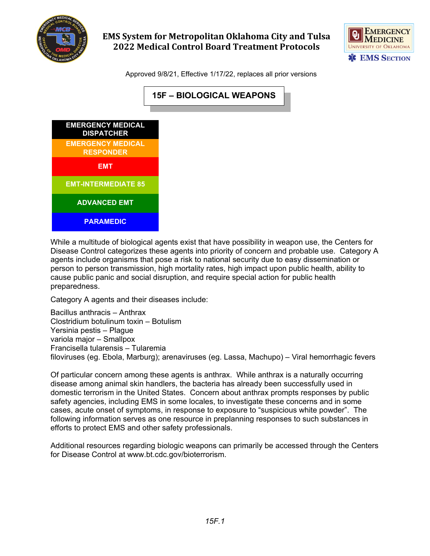

## **EMS System for Metropolitan Oklahoma City and Tulsa 2022 Medical Control Board Treatment Protocols**



Approved 9/8/21, Effective 1/17/22, replaces all prior versions



While a multitude of biological agents exist that have possibility in weapon use, the Centers for Disease Control categorizes these agents into priority of concern and probable use. Category A agents include organisms that pose a risk to national security due to easy dissemination or person to person transmission, high mortality rates, high impact upon public health, ability to cause public panic and social disruption, and require special action for public health preparedness.

Category A agents and their diseases include:

Bacillus anthracis – Anthrax Clostridium botulinum toxin – Botulism Yersinia pestis – Plague variola major – Smallpox Francisella tularensis – Tularemia filoviruses (eg. Ebola, Marburg); arenaviruses (eg. Lassa, Machupo) – Viral hemorrhagic fevers

Of particular concern among these agents is anthrax. While anthrax is a naturally occurring disease among animal skin handlers, the bacteria has already been successfully used in domestic terrorism in the United States. Concern about anthrax prompts responses by public safety agencies, including EMS in some locales, to investigate these concerns and in some cases, acute onset of symptoms, in response to exposure to "suspicious white powder". The following information serves as one resource in preplanning responses to such substances in efforts to protect EMS and other safety professionals.

Additional resources regarding biologic weapons can primarily be accessed through the Centers for Disease Control at www.bt.cdc.gov/bioterrorism.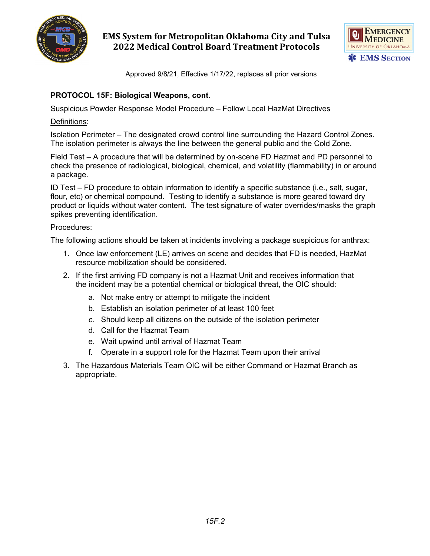

## **EMS System for Metropolitan Oklahoma City and Tulsa 2022 Medical Control Board Treatment Protocols**



Approved 9/8/21, Effective 1/17/22, replaces all prior versions

### **PROTOCOL 15F: Biological Weapons, cont.**

Suspicious Powder Response Model Procedure – Follow Local HazMat Directives

#### Definitions:

Isolation Perimeter – The designated crowd control line surrounding the Hazard Control Zones. The isolation perimeter is always the line between the general public and the Cold Zone.

Field Test – A procedure that will be determined by on-scene FD Hazmat and PD personnel to check the presence of radiological, biological, chemical, and volatility (flammability) in or around a package.

ID Test – FD procedure to obtain information to identify a specific substance (i.e., salt, sugar, flour, etc) or chemical compound. Testing to identify a substance is more geared toward dry product or liquids without water content. The test signature of water overrides/masks the graph spikes preventing identification.

#### Procedures:

The following actions should be taken at incidents involving a package suspicious for anthrax:

- 1. Once law enforcement (LE) arrives on scene and decides that FD is needed, HazMat resource mobilization should be considered.
- 2. If the first arriving FD company is not a Hazmat Unit and receives information that the incident may be a potential chemical or biological threat, the OIC should:
	- a. Not make entry or attempt to mitigate the incident
	- b. Establish an isolation perimeter of at least 100 feet
	- *c.* Should keep all citizens on the outside of the isolation perimeter
	- d. Call for the Hazmat Team
	- e. Wait upwind until arrival of Hazmat Team
	- f. Operate in a support role for the Hazmat Team upon their arrival
- 3. The Hazardous Materials Team OIC will be either Command or Hazmat Branch as appropriate.